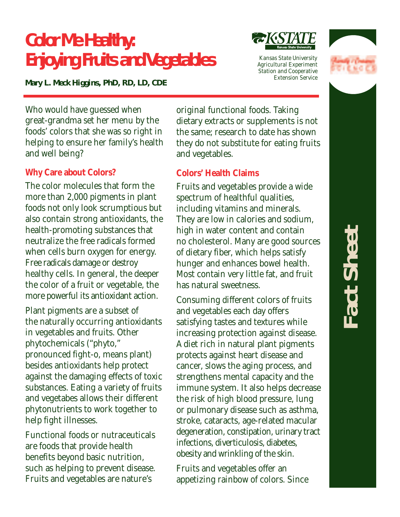# **Color Me Healthy: Enjoying Fruits and Vegetables**

*Mary L. Meck Higgins, PhD, RD, LD, CDE*

*Kansas State University Agricultural Experiment Station and Cooperative Extension Service*



Who would have guessed when great-grandma set her menu by the foods' colors that she was so right in helping to ensure her family's health and well being?

#### **Why Care about Colors?**

The color molecules that form the more than 2,000 pigments in plant foods not only look scrumptious but also contain strong antioxidants, the health-promoting substances that neutralize the free radicals formed when cells burn oxygen for energy. Free radicals damage or destroy healthy cells. In general, the deeper the color of a fruit or vegetable, the more powerful its antioxidant action.

Plant pigments are a subset of the naturally occurring antioxidants in vegetables and fruits. Other phytochemicals ("phyto," pronounced fight-o, means plant) besides antioxidants help protect against the damaging effects of toxic substances. Eating a variety of fruits and vegetabes allows their different phytonutrients to work together to help fight illnesses.

Functional foods or nutraceuticals are foods that provide health benefits beyond basic nutrition, such as helping to prevent disease. Fruits and vegetables are nature's

original functional foods. Taking dietary extracts or supplements is not the same; research to date has shown they do not substitute for eating fruits and vegetables.

#### **Colors' Health Claims**

Fruits and vegetables provide a wide spectrum of healthful qualities, including vitamins and minerals. They are low in calories and sodium, high in water content and contain no cholesterol. Many are good sources of dietary fiber, which helps satisfy hunger and enhances bowel health. Most contain very little fat, and fruit has natural sweetness.

Consuming different colors of fruits and vegetables each day offers satisfying tastes and textures while increasing protection against disease. A diet rich in natural plant pigments protects against heart disease and cancer, slows the aging process, and strengthens mental capacity and the immune system. It also helps decrease the risk of high blood pressure, lung or pulmonary disease such as asthma, stroke, cataracts, age-related macular degeneration, constipation, urinary tract infections, diverticulosis, diabetes, obesity and wrinkling of the skin.

Fruits and vegetables offer an appetizing rainbow of colors. Since

# **Fact Sheet** act Sheel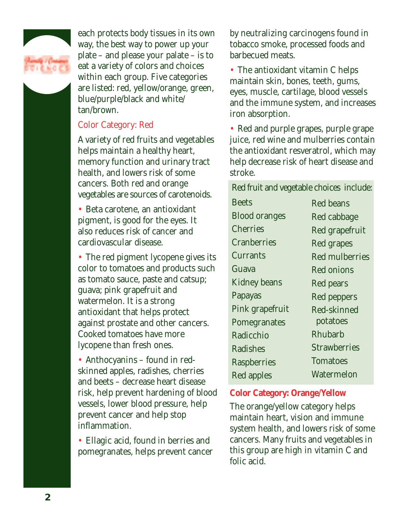

each protects body tissues in its own way, the best way to power up your plate – and please your palate – is to eat a variety of colors and choices within each group. Five categories are listed: red, yellow/orange, green, blue/purple/black and white/ tan/brown.

#### Color Category: Red

A variety of red fruits and vegetables helps maintain a healthy heart, memory function and urinary tract health, and lowers risk of some cancers. Both red and orange vegetables are sources of carotenoids.

• Beta carotene, an antioxidant pigment, is good for the eyes. It also reduces risk of cancer and cardiovascular disease.

• The red pigment lycopene gives its color to tomatoes and products such as tomato sauce, paste and catsup; guava; pink grapefruit and watermelon. It is a strong antioxidant that helps protect against prostate and other cancers. Cooked tomatoes have more lycopene than fresh ones.

• Anthocyanins – found in redskinned apples, radishes, cherries and beets – decrease heart disease risk, help prevent hardening of blood vessels, lower blood pressure, help prevent cancer and help stop inflammation.

• Ellagic acid, found in berries and pomegranates, helps prevent cancer by neutralizing carcinogens found in tobacco smoke, processed foods and barbecued meats.

• The antioxidant vitamin C helps maintain skin, bones, teeth, gums, eyes, muscle, cartilage, blood vessels and the immune system, and increases iron absorption.

• Red and purple grapes, purple grape juice, red wine and mulberries contain the antioxidant resveratrol, which may help decrease risk of heart disease and stroke.

Red fruit and vegetable choices include:

| <b>Beets</b>         | <b>Red beans</b>      |
|----------------------|-----------------------|
| <b>Blood oranges</b> | Red cabbage           |
| Cherries             | Red grapefruit        |
| Cranberries          | Red grapes            |
| Currants             | <b>Red mulberries</b> |
| Guava                | Red onions            |
| Kidney beans         | Red pears             |
| Papayas              | Red peppers           |
| Pink grapefruit      | Red-skinned           |
| Pomegranates         | potatoes              |
| Radicchio            | Rhubarb               |
| Radishes             | <b>Strawberries</b>   |
| <b>Raspberries</b>   | <b>Tomatoes</b>       |
| Red apples           | Watermelon            |
|                      |                       |

#### **Color Category: Orange/Yellow**

The orange/yellow category helps maintain heart, vision and immune system health, and lowers risk of some cancers. Many fruits and vegetables in this group are high in vitamin C and folic acid.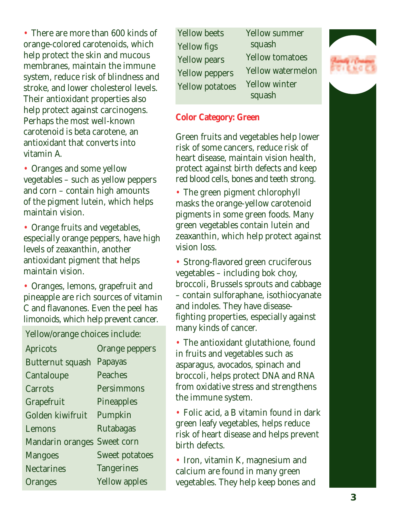• There are more than 600 kinds of orange-colored carotenoids, which help protect the skin and mucous membranes, maintain the immune system, reduce risk of blindness and stroke, and lower cholesterol levels. Their antioxidant properties also help protect against carcinogens. Perhaps the most well-known carotenoid is beta carotene, an antioxidant that converts into vitamin A.

• Oranges and some yellow vegetables – such as yellow peppers and corn – contain high amounts of the pigment lutein, which helps maintain vision.

• Orange fruits and vegetables, especially orange peppers, have high levels of zeaxanthin, another antioxidant pigment that helps maintain vision.

• Oranges, lemons, grapefruit and pineapple are rich sources of vitamin C and flavanones. Even the peel has limonoids, which help prevent cancer.

Yellow/orange choices include:

| Apricots          | Orange peppers       |
|-------------------|----------------------|
| Butternut squash  | Papayas              |
| Cantaloupe        | Peaches              |
| Carrots           | Persimmons           |
| Grapefruit        | Pineapples           |
| Golden kiwifruit  | Pumpkin              |
| Lemons            | Rutabagas            |
| Mandarin oranges  | Sweet corn           |
| <b>Mangoes</b>    | Sweet potatoes       |
| <b>Nectarines</b> | <b>Tangerines</b>    |
| Oranges           | <b>Yellow apples</b> |

Yellow beets Yellow figs Yellow pears Yellow peppers Yellow potatoes Yellow summer squash Yellow tomatoes Yellow watermelon Yellow winter squash

#### **Color Category: Green**

Green fruits and vegetables help lower risk of some cancers, reduce risk of heart disease, maintain vision health, protect against birth defects and keep red blood cells, bones and teeth strong.

• The green pigment chlorophyll masks the orange-yellow carotenoid pigments in some green foods. Many green vegetables contain lutein and zeaxanthin, which help protect against vision loss.

• Strong-flavored green cruciferous vegetables – including bok choy, broccoli, Brussels sprouts and cabbage – contain sulforaphane, isothiocyanate and indoles. They have diseasefighting properties, especially against many kinds of cancer.

• The antioxidant glutathione, found in fruits and vegetables such as asparagus, avocados, spinach and broccoli, helps protect DNA and RNA from oxidative stress and strengthens the immune system.

• Folic acid, a B vitamin found in dark green leafy vegetables, helps reduce risk of heart disease and helps prevent birth defects.

• Iron, vitamin K, magnesium and calcium are found in many green vegetables. They help keep bones and

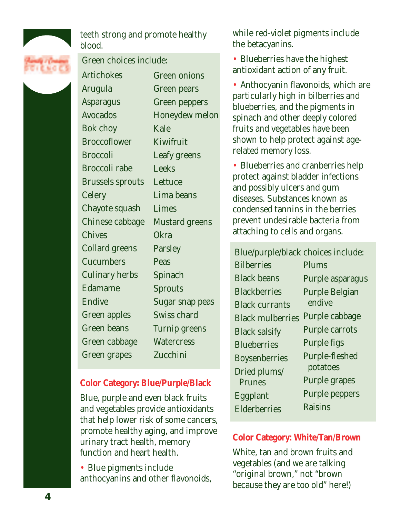

teeth strong and promote healthy blood.

#### Green choices include:

**Artichokes** Arugula Asparagus Avocados Bok choy **Broccoflower** Broccoli Broccoli rabe Brussels sprouts **Celery** Chayote squash Chinese cabbage Chives Collard greens **Cucumbers** Culinary herbs Edamame Endive Green apples Green beans Green cabbage Green grapes

Green onions Green pears Green peppers Honeydew melon Kale Kiwifruit Leafy greens Leeks **Lettuce** Lima beans Limes Mustard greens **Okra** Parsley Peas Spinach **Sprouts** Sugar snap peas Swiss chard Turnip greens **Watercress** Zucchini

#### **Color Category: Blue/Purple/Black**

Blue, purple and even black fruits and vegetables provide antioxidants that help lower risk of some cancers, promote healthy aging, and improve urinary tract health, memory function and heart health.

• Blue pigments include anthocyanins and other flavonoids, while red-violet pigments include the betacyanins.

• Blueberries have the highest antioxidant action of any fruit.

• Anthocyanin flavonoids, which are particularly high in bilberries and blueberries, and the pigments in spinach and other deeply colored fruits and vegetables have been shown to help protect against agerelated memory loss.

• Blueberries and cranberries help protect against bladder infections and possibly ulcers and gum diseases. Substances known as condensed tannins in the berries prevent undesirable bacteria from attaching to cells and organs.

Blue/purple/black choices include: **Bilberries** Black beans **Blackberries** Black currants Black mulberries Black salsify **Blueberries** Boysenberries Dried plums/ **Prunes** Eggplant **Elderberries** Plums Purple asparagus Purple Belgian endive Purple cabbage Purple carrots Purple figs Purple-fleshed potatoes Purple grapes Purple peppers Raisins

#### **Color Category: White/Tan/Brown**

White, tan and brown fruits and vegetables (and we are talking "original brown," not "brown because they are too old" here!)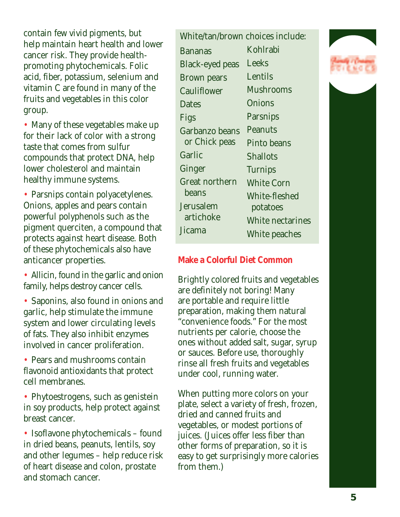contain few vivid pigments, but help maintain heart health and lower cancer risk. They provide healthpromoting phytochemicals. Folic acid, fiber, potassium, selenium and vitamin C are found in many of the fruits and vegetables in this color group.

• Many of these vegetables make up for their lack of color with a strong taste that comes from sulfur compounds that protect DNA, help lower cholesterol and maintain healthy immune systems.

• Parsnips contain polyacetylenes. Onions, apples and pears contain powerful polyphenols such as the pigment querciten, a compound that protects against heart disease. Both of these phytochemicals also have anticancer properties.

• Allicin, found in the garlic and onion family, helps destroy cancer cells.

• Saponins, also found in onions and garlic, help stimulate the immune system and lower circulating levels of fats. They also inhibit enzymes involved in cancer proliferation.

• Pears and mushrooms contain flavonoid antioxidants that protect cell membranes.

• Phytoestrogens, such as genistein in soy products, help protect against breast cancer.

• Isoflavone phytochemicals – found in dried beans, peanuts, lentils, soy and other legumes – help reduce risk of heart disease and colon, prostate and stomach cancer.

| White/tan/brown choices include: |                   |
|----------------------------------|-------------------|
| <b>Bananas</b>                   | Kohlrabi          |
| <b>Black-eyed peas</b>           | Leeks             |
| <b>Brown pears</b>               | Lentils           |
| Cauliflower                      | Mushrooms         |
| Dates                            | Onions            |
| Figs                             | Parsnips          |
| Garbanzo beans                   | Peanuts           |
| or Chick peas                    | Pinto beans       |
| Garlic                           | <b>Shallots</b>   |
| Ginger                           | <b>Turnips</b>    |
| <b>Great northern</b>            | <b>White Corn</b> |
| beans                            | White-fleshed     |
| Jerusalem                        | potatoes          |
| artichoke                        | White nectarines  |
| Jicama                           | White peaches     |

#### **Make a Colorful Diet Common**

Brightly colored fruits and vegetables are definitely not boring! Many are portable and require little preparation, making them natural "convenience foods." For the most nutrients per calorie, choose the ones without added salt, sugar, syrup or sauces. Before use, thoroughly rinse all fresh fruits and vegetables under cool, running water.

When putting more colors on your plate, select a variety of fresh, frozen, dried and canned fruits and vegetables, or modest portions of juices. (Juices offer less fiber than other forms of preparation, so it is easy to get surprisingly more calories from them.)

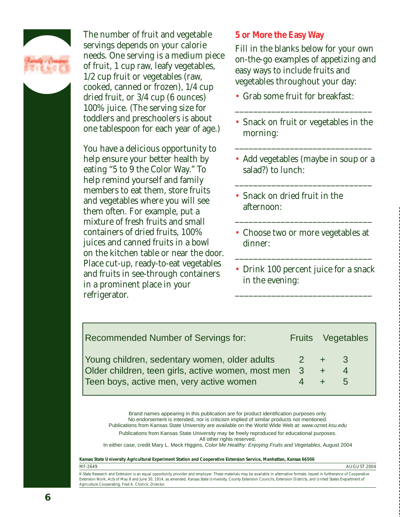

The number of fruit and vegetable servings depends on your calorie needs. One serving is a medium piece of fruit, 1 cup raw, leafy vegetables, 1/2 cup fruit or vegetables (raw, cooked, canned or frozen), 1/4 cup dried fruit, or 3/4 cup (6 ounces) 100% juice. (The serving size for toddlers and preschoolers is about one tablespoon for each year of age.)

You have a delicious opportunity to help ensure your better health by eating "5 to 9 the Color Way." To help remind yourself and family members to eat them, store fruits and vegetables where you will see them often. For example, put a mixture of fresh fruits and small containers of dried fruits, 100% juices and canned fruits in a bowl on the kitchen table or near the door. Place cut-up, ready-to-eat vegetables and fruits in see-through containers in a prominent place in your refrigerator.

#### **5 or More the Easy Way**

Fill in the blanks below for your own on-the-go examples of appetizing and easy ways to include fruits and vegetables throughout your day:

- Grab some fruit for breakfast:
- Snack on fruit or vegetables in the morning:

\_\_\_\_\_\_\_\_\_\_\_\_\_\_\_\_\_\_\_\_\_\_\_\_\_\_\_\_\_\_

\_\_\_\_\_\_\_\_\_\_\_\_\_\_\_\_\_\_\_\_\_\_\_\_\_\_\_\_\_\_

• Add vegetables (maybe in soup or a salad?) to lunch:

\_\_\_\_\_\_\_\_\_\_\_\_\_\_\_\_\_\_\_\_\_\_\_\_\_\_\_\_\_\_

- Snack on dried fruit in the afternoon:
- Choose two or more vegetables at dinner:

\_\_\_\_\_\_\_\_\_\_\_\_\_\_\_\_\_\_\_\_\_\_\_\_\_\_\_\_\_\_

\_\_\_\_\_\_\_\_\_\_\_\_\_\_\_\_\_\_\_\_\_\_\_\_\_\_\_\_\_\_

• Drink 100 percent juice for a snack in the evening:

\_\_\_\_\_\_\_\_\_\_\_\_\_\_\_\_\_\_\_\_\_\_\_\_\_\_\_\_\_\_

| <b>Recommended Number of Servings for:</b>           |       |               | Fruits Vegetables |
|------------------------------------------------------|-------|---------------|-------------------|
| Young children, sedentary women, older adults        | $2 +$ |               | $-3$              |
| Older children, teen girls, active women, most men 3 |       | $\frac{1}{2}$ |                   |
| Teen boys, active men, very active women             |       |               | $\mathbf{h}$      |

Brand names appearing in this publication are for product identification purposes only. No endorsement is intended, nor is criticism implied of similar products not mentioned. Publications from Kansas State University are available on the World Wide Web at: www.oznet.ksu.edu

Publications from Kansas State University may be freely reproduced for educational purposes. All other rights reserved.

In either case, credit Mary L. Meck Higgins, Color Me Healthy: Enjoying Fruits and Vegetables, August 2004

**Kansas State University Agricultural Experiment Station and Cooperative Extension Service, Manhattan, Kansas 66506**

MF-2649 AUGUST 2004

K-State Research and Extension is an equal opportunity provider and employer. These materials may be available in alternative formats. Issued in furtherance of Cooperative Extension Work, Acts of May 8 and June 30, 1914, as amended. Kansas State University, County Extension Councils, Extension Districts, and United States Department of Agriculture Cooperating, Fred A. Cholick, Director.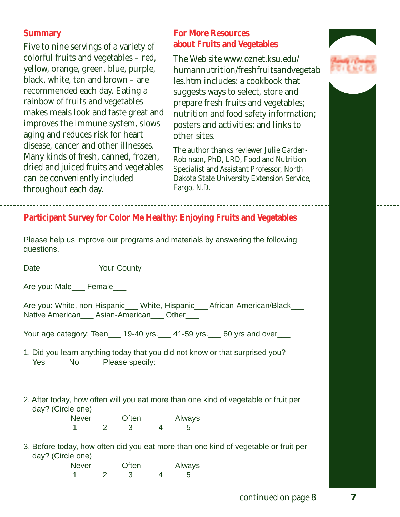## **Summary**

Five to nine servings of a variety of colorful fruits and vegetables – red, yellow, orange, green, blue, purple, black, white, tan and brown – are recommended each day. Eating a rainbow of fruits and vegetables makes meals look and taste great and improves the immune system, slows aging and reduces risk for heart disease, cancer and other illnesses. Many kinds of fresh, canned, frozen, dried and juiced fruits and vegetables can be conveniently included throughout each day.

## **For More Resources about Fruits and Vegetables**

The Web site *www.oznet.ksu.edu/ humannutrition/freshfruitsandvegetab les.htm* includes: a cookbook that suggests ways to select, store and prepare fresh fruits and vegetables; nutrition and food safety information; posters and activities; and links to other sites.

The author thanks reviewer Julie Garden-Robinson, PhD, LRD, Food and Nutrition Specialist and Assistant Professor, North Dakota State University Extension Service, Fargo, N.D.





# **Participant Survey for Color Me Healthy: Enjoying Fruits and Vegetables**

|            | Please help us improve our programs and materials by answering the following |  |  |  |
|------------|------------------------------------------------------------------------------|--|--|--|
| questions. |                                                                              |  |  |  |

Date\_\_\_\_\_\_\_\_\_\_\_\_\_ Your County \_\_\_\_\_\_\_\_\_\_\_\_\_\_\_\_\_\_\_\_\_\_\_\_

Are you: Male\_\_\_ Female\_\_\_

Are you: White, non-Hispanic\_\_\_ White, Hispanic\_\_\_ African-American/Black\_\_\_ Native American\_\_\_ Asian-American\_\_\_ Other\_\_\_

Your age category: Teen 19-40 yrs. 41-59 yrs. 60 yrs and over

- 1. Did you learn anything today that you did not know or that surprised you? Yes\_\_\_\_\_\_ No\_\_\_\_\_ Please specify:
- 2. After today, how often will you eat more than one kind of vegetable or fruit per day? (Circle one)

| <b>Never</b> | Often | Always      |
|--------------|-------|-------------|
|              |       | $5^{\circ}$ |

3. Before today, how often did you eat more than one kind of vegetable or fruit per day? (Circle one)

| <b>Never</b> | Often | Always       |
|--------------|-------|--------------|
|              |       | $\mathbf{b}$ |